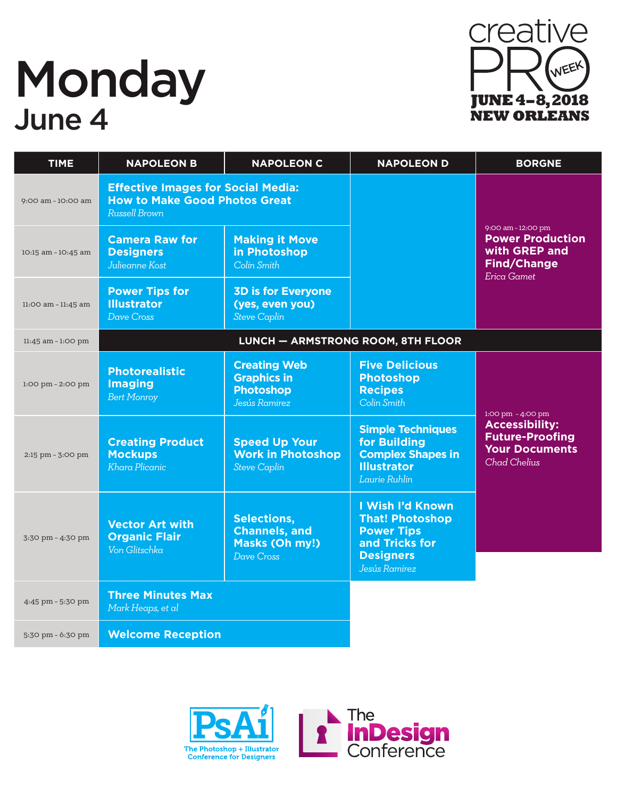# **Monday** June 4



| <b>TIME</b>                         | <b>NAPOLEON B</b>                                                                                  | <b>NAPOLEON C</b>                                                              | <b>NAPOLEON D</b>                                                                                                      | <b>BORGNE</b>                                                                                              |
|-------------------------------------|----------------------------------------------------------------------------------------------------|--------------------------------------------------------------------------------|------------------------------------------------------------------------------------------------------------------------|------------------------------------------------------------------------------------------------------------|
| 9:00 am - 10:00 am                  | <b>Effective Images for Social Media:</b><br><b>How to Make Good Photos Great</b><br>Russell Brown |                                                                                |                                                                                                                        |                                                                                                            |
| 10:15 am - 10:45 am                 | <b>Camera Raw for</b><br><b>Designers</b><br>Julieanne Kost                                        | <b>Making it Move</b><br>in Photoshop<br>Colin Smith                           |                                                                                                                        | 9:00 am - 12:00 pm<br><b>Power Production</b><br>with GREP and<br><b>Find/Change</b><br><b>Erica Gamet</b> |
| 11:00 am - 11:45 am                 | <b>Power Tips for</b><br><b>Illustrator</b><br>Dave Cross                                          | <b>3D is for Everyone</b><br>(yes, even you)<br><b>Steve Caplin</b>            |                                                                                                                        |                                                                                                            |
| 11:45 am - 1:00 pm                  | LUNCH - ARMSTRONG ROOM, 8TH FLOOR                                                                  |                                                                                |                                                                                                                        |                                                                                                            |
| $1:00 \text{ pm} - 2:00 \text{ pm}$ | <b>Photorealistic</b><br><b>Imaging</b><br><b>Bert Monroy</b>                                      | <b>Creating Web</b><br><b>Graphics in</b><br><b>Photoshop</b><br>Jesús Ramirez | <b>Five Delicious</b><br><b>Photoshop</b><br><b>Recipes</b><br>Colin Smith                                             | 1:00 pm - 4:00 pm                                                                                          |
| 2:15 pm - 3:00 pm                   | <b>Creating Product</b><br><b>Mockups</b><br>Khara Plicanic                                        | <b>Speed Up Your</b><br><b>Work in Photoshop</b><br><b>Steve Caplin</b>        | <b>Simple Techniques</b><br>for Building<br><b>Complex Shapes in</b><br><b>Illustrator</b><br>Laurie Ruhlin            | <b>Accessibility:</b><br><b>Future-Proofing</b><br><b>Your Documents</b><br><b>Chad Chelius</b>            |
| 3:30 pm - 4:30 pm                   | <b>Vector Art with</b><br><b>Organic Flair</b><br>Von Glitschka                                    | <b>Selections,</b><br><b>Channels, and</b><br>Masks (Oh my!)<br>Dave Cross     | I Wish I'd Known<br><b>That! Photoshop</b><br><b>Power Tips</b><br>and Tricks for<br><b>Designers</b><br>Jesús Ramirez |                                                                                                            |
| 4:45 pm - 5:30 pm                   | <b>Three Minutes Max</b><br>Mark Heaps, et al                                                      |                                                                                |                                                                                                                        |                                                                                                            |
| 5:30 pm - 6:30 pm                   | <b>Welcome Reception</b>                                                                           |                                                                                |                                                                                                                        |                                                                                                            |

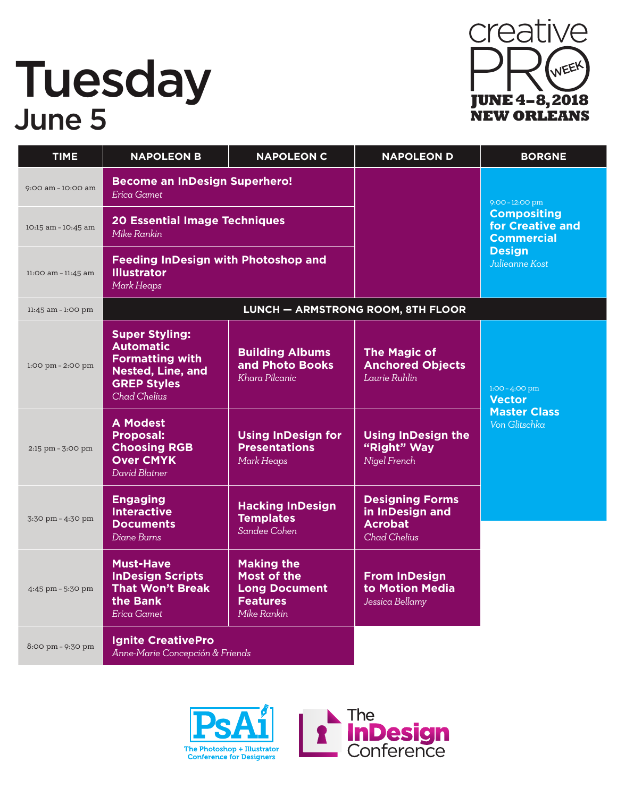#### Tuesday June 5



| <b>TIME</b>                         | <b>NAPOLEON B</b>                                                                                                                            | <b>NAPOLEON C</b>                                                                                 | <b>NAPOLEON D</b>                                                                  | <b>BORGNE</b>                                               |
|-------------------------------------|----------------------------------------------------------------------------------------------------------------------------------------------|---------------------------------------------------------------------------------------------------|------------------------------------------------------------------------------------|-------------------------------------------------------------|
| 9:00 am - 10:00 am                  | <b>Become an InDesign Superhero!</b><br>Erica Gamet                                                                                          |                                                                                                   |                                                                                    | 9:00 - 12:00 pm                                             |
| 10:15 am - 10:45 am                 | <b>20 Essential Image Techniques</b><br>Mike Rankin                                                                                          |                                                                                                   |                                                                                    | <b>Compositing</b><br>for Creative and<br><b>Commercial</b> |
| 11:00 am - 11:45 am                 | <b>Feeding InDesign with Photoshop and</b><br><b>Illustrator</b><br>Mark Heaps                                                               |                                                                                                   |                                                                                    | <b>Design</b><br>Julieanne Kost                             |
| $11:45$ am $-1:00$ pm               |                                                                                                                                              |                                                                                                   | <b>LUNCH - ARMSTRONG ROOM, 8TH FLOOR</b>                                           |                                                             |
| $1:00 \text{ pm} - 2:00 \text{ pm}$ | <b>Super Styling:</b><br><b>Automatic</b><br><b>Formatting with</b><br><b>Nested, Line, and</b><br><b>GREP Styles</b><br><b>Chad Chelius</b> | <b>Building Albums</b><br>and Photo Books<br>Khara Pilcanic                                       | <b>The Magic of</b><br><b>Anchored Objects</b><br>Laurie Ruhlin                    | $1:00 - 4:00$ pm<br><b>Vector</b>                           |
| 2:15 pm - 3:00 pm                   | <b>A Modest</b><br><b>Proposal:</b><br><b>Choosing RGB</b><br><b>Over CMYK</b><br>David Blatner                                              | <b>Using InDesign for</b><br><b>Presentations</b><br>Mark Heaps                                   | <b>Using InDesign the</b><br>"Right" Way<br>Nigel French                           | <b>Master Class</b><br>Von Glitschka                        |
| 3:30 pm - 4:30 pm                   | <b>Engaging</b><br><b>Interactive</b><br><b>Documents</b><br>Diane Burns                                                                     | <b>Hacking InDesign</b><br><b>Templates</b><br>Sandee Cohen                                       | <b>Designing Forms</b><br>in InDesign and<br><b>Acrobat</b><br><b>Chad Chelius</b> |                                                             |
| 4:45 pm - 5:30 pm                   | <b>Must-Have</b><br><b>InDesign Scripts</b><br><b>That Won't Break</b><br>the Bank<br>Erica Gamet                                            | <b>Making the</b><br><b>Most of the</b><br><b>Long Document</b><br><b>Features</b><br>Mike Rankin | <b>From InDesign</b><br>to Motion Media<br>Jessica Bellamy                         |                                                             |
| 8:00 pm - 9:30 pm                   | <b>Ignite CreativePro</b><br>Anne-Marie Concepción & Friends                                                                                 |                                                                                                   |                                                                                    |                                                             |

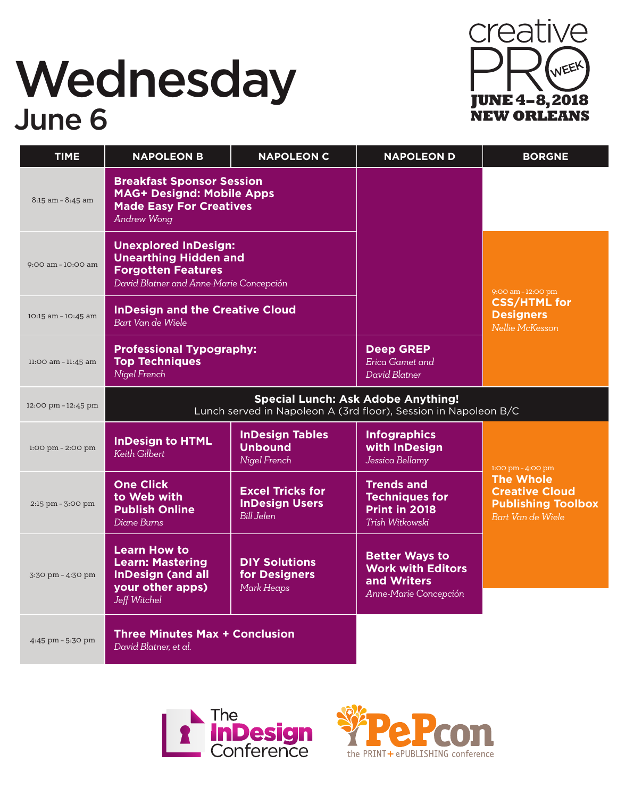### **Wednesday**<br> *June 6*<br> *Lune 6*<br> *Mednesday*<br> *Mednesday*<br> *Mednesday*<br> *Mednesday*<br> *Meworleans* **June 6**



| <b>TIME</b>         | <b>NAPOLEON B</b>                                                                                                                   | <b>NAPOLEON C</b>                                              | <b>NAPOLEON D</b>                                                                         | <b>BORGNE</b>                                                                               |
|---------------------|-------------------------------------------------------------------------------------------------------------------------------------|----------------------------------------------------------------|-------------------------------------------------------------------------------------------|---------------------------------------------------------------------------------------------|
| 8:15 am - 8:45 am   | <b>Breakfast Sponsor Session</b><br><b>MAG+ Designd: Mobile Apps</b><br><b>Made Easy For Creatives</b><br><b>Andrew Wong</b>        |                                                                |                                                                                           |                                                                                             |
| 9:00 am - 10:00 am  | <b>Unexplored InDesign:</b><br><b>Unearthing Hidden and</b><br><b>Forgotten Features</b><br>David Blatner and Anne-Marie Concepción |                                                                |                                                                                           | 9:00 am - 12:00 pm                                                                          |
| 10:15 am - 10:45 am | <b>InDesign and the Creative Cloud</b><br>Bart Van de Wiele                                                                         |                                                                |                                                                                           | <b>CSS/HTML for</b><br><b>Designers</b><br>Nellie McKesson                                  |
| 11:00 am - 11:45 am | <b>Professional Typography:</b><br><b>Top Techniques</b><br>Nigel French                                                            |                                                                | <b>Deep GREP</b><br>Erica Gamet and<br>David Blatner                                      |                                                                                             |
| 12:00 pm - 12:45 pm | Lunch served in Napoleon A (3rd floor), Session in Napoleon B/C                                                                     |                                                                | <b>Special Lunch: Ask Adobe Anything!</b>                                                 |                                                                                             |
| 1:00 pm - 2:00 pm   | <b>InDesign to HTML</b><br><b>Keith Gilbert</b>                                                                                     | <b>InDesign Tables</b><br><b>Unbound</b><br>Nigel French       | <b>Infographics</b><br>with InDesign<br>Jessica Bellamy                                   | $1:00 \text{ pm} - 4:00 \text{ pm}$                                                         |
| 2:15 pm - 3:00 pm   | <b>One Click</b><br>to Web with<br><b>Publish Online</b><br>Diane Burns                                                             | <b>Excel Tricks for</b><br><b>InDesign Users</b><br>Bill Jelen | <b>Trends and</b><br><b>Techniques for</b><br>Print in 2018<br>Trish Witkowski            | <b>The Whole</b><br><b>Creative Cloud</b><br><b>Publishing Toolbox</b><br>Bart Van de Wiele |
| 3:30 pm - 4:30 pm   | <b>Learn How to</b><br><b>Learn: Mastering</b><br><b>InDesign (and all</b><br>your other apps)<br>Jeff Witchel                      | <b>DIY Solutions</b><br>for Designers<br>Mark Heaps            | <b>Better Ways to</b><br><b>Work with Editors</b><br>and Writers<br>Anne-Marie Concepción |                                                                                             |
| 4:45 pm - 5:30 pm   | <b>Three Minutes Max + Conclusion</b><br>David Blatner, et al.                                                                      |                                                                |                                                                                           |                                                                                             |



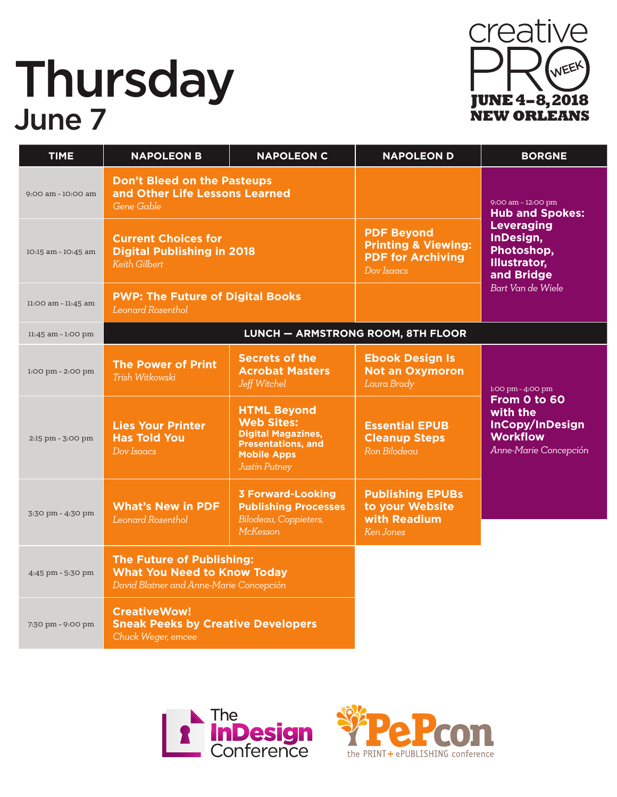# **Thursday** June 7



| <b>TIME</b>                         | <b>NAPOLEON B</b>                                                                                                 | <b>NAPOLEON C</b>                                                                                                                        | <b>NAPOLEON D</b>                                                                             | <b>BORGNE</b>                                                                                                                                          |
|-------------------------------------|-------------------------------------------------------------------------------------------------------------------|------------------------------------------------------------------------------------------------------------------------------------------|-----------------------------------------------------------------------------------------------|--------------------------------------------------------------------------------------------------------------------------------------------------------|
| 9:00 am - 10:00 am                  | <b>Don't Bleed on the Pasteups</b><br>and Other Life Lessons Learned<br>Gene Gable                                |                                                                                                                                          |                                                                                               | 9:00 am - 12:00 pm<br><b>Hub and Spokes:</b><br><b>Leveraging</b><br>InDesign,<br>Photoshop,<br><b>Illustrator,</b><br>and Bridge<br>Bart Van de Wiele |
| 10:15 am - 10:45 am                 | <b>Current Choices for</b><br><b>Digital Publishing in 2018</b><br><b>Keith Gilbert</b>                           |                                                                                                                                          | <b>PDF Beyond</b><br><b>Printing &amp; Viewing:</b><br><b>PDF for Archiving</b><br>Dov Isaacs |                                                                                                                                                        |
| 11:00 am - 11:45 am                 | <b>PWP: The Future of Digital Books</b><br>Leonard Rosenthol                                                      |                                                                                                                                          |                                                                                               |                                                                                                                                                        |
| $11:45$ am $-1:00$ pm               | LUNCH - ARMSTRONG ROOM, 8TH FLOOR                                                                                 |                                                                                                                                          |                                                                                               |                                                                                                                                                        |
| $1:00 \text{ pm} - 2:00 \text{ pm}$ | <b>The Power of Print</b><br>Trish Witkowski                                                                      | <b>Secrets of the</b><br><b>Acrobat Masters</b><br>Jeff Witchel                                                                          | <b>Ebook Design Is</b><br><b>Not an Oxymoron</b><br>Laura Brady                               | $1:00 \text{ pm} - 4:00 \text{ pm}$                                                                                                                    |
| 2:15 pm - 3:00 pm                   | <b>Lies Your Printer</b><br><b>Has Told You</b><br>Dov Isaacs                                                     | <b>HTML Beyond</b><br><b>Web Sites:</b><br><b>Digital Magazines,</b><br><b>Presentations, and</b><br><b>Mobile Apps</b><br>Justin Putney | <b>Essential EPUB</b><br><b>Cleanup Steps</b><br>Ron Bilodeau                                 | From 0 to 60<br>with the<br>InCopy/InDesign<br><b>Workflow</b><br>Anne-Marie Concepción                                                                |
| 3:30 pm - 4:30 pm                   | <b>What's New in PDF</b><br><b>Leonard Rosenthol</b>                                                              | <b>3 Forward-Looking</b><br><b>Publishing Processes</b><br>Bilodeau, Coppieters,<br>McKesson                                             | <b>Publishing EPUBs</b><br>to your Website<br>with Readium<br>Ken Jones                       |                                                                                                                                                        |
| 4:45 pm - 5:30 pm                   | <b>The Future of Publishing:</b><br><b>What You Need to Know Today</b><br>David Blatner and Anne-Marie Concepción |                                                                                                                                          |                                                                                               |                                                                                                                                                        |
| 7:30 pm - 9:00 pm                   | <b>CreativeWow!</b><br><b>Sneak Peeks by Creative Developers</b><br>Chuck Weger, emcee                            |                                                                                                                                          |                                                                                               |                                                                                                                                                        |